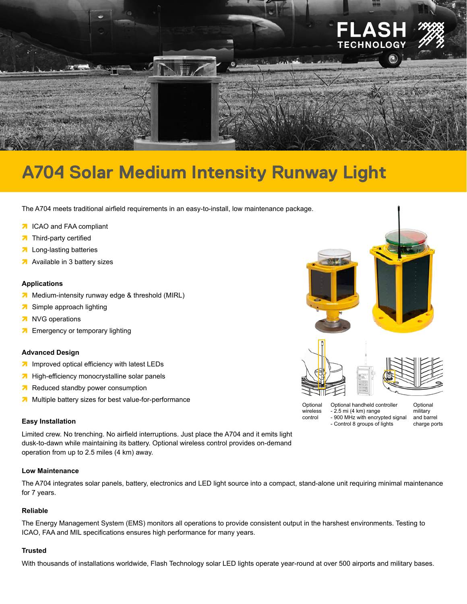

# **A704 Solar Medium Intensity Runway Light**

The A704 meets traditional airfield requirements in an easy-to-install, low maintenance package.

- **7** ICAO and FAA compliant
- **7** Third-party certified
- **7** Long-lasting batteries
- **<sup>7</sup>** Available in 3 battery sizes

#### **Applications**

- **<sup>7</sup>** Medium-intensity runway edge & threshold (MIRL)
- **7** Simple approach lighting
- **<sup>7</sup>** NVG operations
- **7** Emergency or temporary lighting

#### **Advanced Design**

- **in** Improved optical efficiency with latest LEDs
- **<sup>7</sup>** High-efficiency monocrystalline solar panels
- **a** Reduced standby power consumption
- **7** Multiple battery sizes for best value-for-performance

#### **Easy Installation**

Limited crew. No trenching. No airfield interruptions. Just place the A704 and it emits light dusk-to-dawn while maintaining its battery. Optional wireless control provides on-demand operation from up to 2.5 miles (4 km) away.

#### **Low Maintenance**

The A704 integrates solar panels, battery, electronics and LED light source into a compact, stand-alone unit requiring minimal maintenance for 7 years.

#### **Reliable**

The Energy Management System (EMS) monitors all operations to provide consistent output in the harshest environments. Testing to ICAO, FAA and MIL specifications ensures high performance for many years.

#### **Trusted**

With thousands of installations worldwide, Flash Technology solar LED lights operate year-round at over 500 airports and military bases.



- Control 8 groups of lights

charge ports